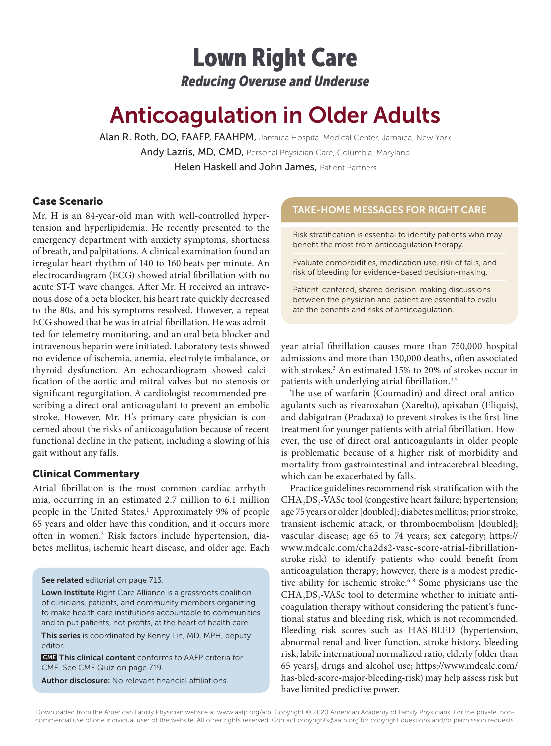## Lown Right Care *Reducing Overuse and Underuse*

# Anticoagulation in Older Adults

Alan R. Roth, DO, FAAFP, FAAHPM, Jamaica Hospital Medical Center, Jamaica, New York Andy Lazris, MD, CMD, Personal Physician Care, Columbia, Maryland Helen Haskell and John James, Patient Partners

### Case Scenario

Mr. H is an 84-year-old man with well-controlled hypertension and hyperlipidemia. He recently presented to the emergency department with anxiety symptoms, shortness of breath, and palpitations. A clinical examination found an irregular heart rhythm of 140 to 160 beats per minute. An electrocardiogram (ECG) showed atrial fibrillation with no acute ST-T wave changes. After Mr. H received an intravenous dose of a beta blocker, his heart rate quickly decreased to the 80s, and his symptoms resolved. However, a repeat ECG showed that he was in atrial fibrillation. He was admitted for telemetry monitoring, and an oral beta blocker and intravenous heparin were initiated. Laboratory tests showed no evidence of ischemia, anemia, electrolyte imbalance, or thyroid dysfunction. An echocardiogram showed calcification of the aortic and mitral valves but no stenosis or significant regurgitation. A cardiologist recommended prescribing a direct oral anticoagulant to prevent an embolic stroke. However, Mr. H's primary care physician is concerned about the risks of anticoagulation because of recent functional decline in the patient, including a slowing of his gait without any falls.

### Clinical Commentary

Atrial fibrillation is the most common cardiac arrhythmia, occurring in an estimated 2.7 million to 6.1 million people in the United States.<sup>1</sup> Approximately 9% of people 65 years and older have this condition, and it occurs more often in women.<sup>2</sup> Risk factors include hypertension, diabetes mellitus, ischemic heart disease, and older age. Each

### See related editorial on page 713.

Lown Institute Right Care Alliance is a grassroots coalition of clinicians, patients, and community members organizing to make health care institutions accountable to communities and to put patients, not profits, at the heart of health care.

This series is coordinated by Kenny Lin, MD, MPH, deputy editor.

 CME This clinical content conforms to AAFP criteria for CME. See CME Quiz on page 719.

Author disclosure: No relevant financial affiliations.

### TAKE-HOME MESSAGES FOR RIGHT CARE

Risk stratification is essential to identify patients who may benefit the most from anticoagulation therapy.

Evaluate comorbidities, medication use, risk of falls, and risk of bleeding for evidence-based decision-making.

Patient-centered, shared decision-making discussions between the physician and patient are essential to evaluate the benefits and risks of anticoagulation.

year atrial fibrillation causes more than 750,000 hospital admissions and more than 130,000 deaths, often associated with strokes.3 An estimated 15% to 20% of strokes occur in patients with underlying atrial fibrillation.<sup>4,5</sup>

The use of warfarin (Coumadin) and direct oral anticoagulants such as rivaroxaban (Xarelto), apixaban (Eliquis), and dabigatran (Pradaxa) to prevent strokes is the first-line treatment for younger patients with atrial fibrillation. However, the use of direct oral anticoagulants in older people is problematic because of a higher risk of morbidity and mortality from gastrointestinal and intracerebral bleeding, which can be exacerbated by falls.

Practice guidelines recommend risk stratification with the CHA<sub>2</sub>DS<sub>2</sub>-VASc tool (congestive heart failure; hypertension; age 75 years or older [doubled]; diabetes mellitus; prior stroke, transient ischemic attack, or thromboembolism [doubled]; vascular disease; age 65 to 74 years; sex category; https:// www.mdcalc.com/cha2ds2-vasc-score-atrial-fibrillationstroke-risk) to identify patients who could benefit from anticoagulation therapy; however, there is a modest predictive ability for ischemic stroke.<sup>6-8</sup> Some physicians use the CHA<sub>2</sub>DS<sub>2</sub>-VASc tool to determine whether to initiate anticoagulation therapy without considering the patient's functional status and bleeding risk, which is not recommended. Bleeding risk scores such as HAS-BLED (hypertension, abnormal renal and liver function, stroke history, bleeding risk, labile international normalized ratio, elderly [older than 65 years], drugs and alcohol use; https://www.mdcalc.com/ has-bled-score-major-bleeding-risk) may help assess risk but have limited predictive power.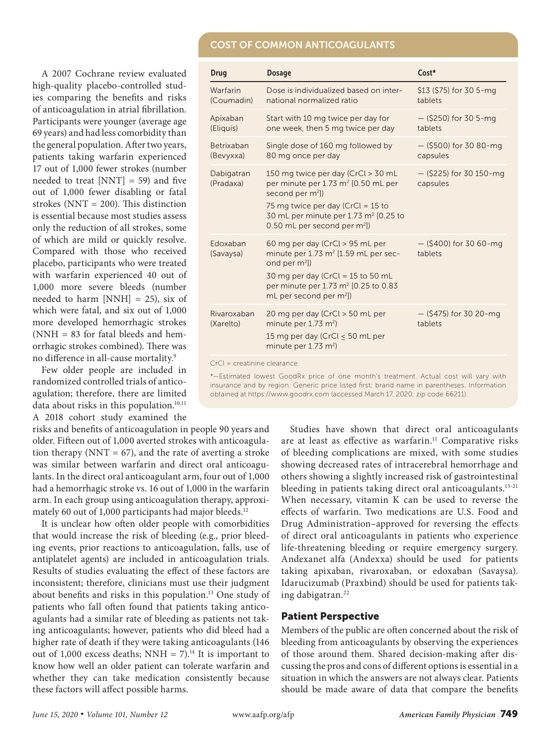### **COST OF COMMON ANTICOAGULANTS**

A 2007 Cochrane review evaluated high-quality placebo-controlled studies comparing the benefits and risks of anticoagulation in atrial fibrillation. Participants were younger (average age 69 years) and had less comorbidity than the general population. After two years, patients taking warfarin experienced 17 out of 1,000 fewer strokes (number needed to treat  $[NNT] = 59$  and five out of 1,000 fewer disabling or fatal strokes (NNT = 200). This distinction is essential because most studies assess only the reduction of all strokes, some of which are mild or quickly resolve. Compared with those who received placebo, participants who were treated with warfarin experienced 40 out of 1,000 more severe bleeds (number needed to harm  $[NNH] = 25$ , six of which were fatal, and six out of 1,000 more developed hemorrhagic strokes (NNH = 83 for fatal bleeds and hemorrhagic strokes combined). There was no difference in all-cause mortality.9

Few older people are included in randomized controlled trials of anticoagulation; therefore, there are limited data about risks in this population.<sup>10,11</sup> A 2018 cohort study examined the

risks and benefits of anticoagulation in people 90 years and older. Fifteen out of 1,000 averted strokes with anticoagulation therapy ( $NNT = 67$ ), and the rate of averting a stroke was similar between warfarin and direct oral anticoagulants. In the direct oral anticoagulant arm, four out of 1,000 had a hemorrhagic stroke vs. 16 out of 1,000 in the warfarin arm. In each group using anticoagulation therapy, approximately 60 out of 1,000 participants had major bleeds.<sup>12</sup>

It is unclear how often older people with comorbidities that would increase the risk of bleeding (e.g., prior bleeding events, prior reactions to anticoagulation, falls, use of antiplatelet agents) are included in anticoagulation trials. Results of studies evaluating the effect of these factors are inconsistent; therefore, clinicians must use their judgment about benefits and risks in this population.13 One study of patients who fall often found that patients taking anticoagulants had a similar rate of bleeding as patients not taking anticoagulants; however, patients who did bleed had a higher rate of death if they were taking anticoagulants (146 out of 1,000 excess deaths; NNH =  $7$ ).<sup>14</sup> It is important to know how well an older patient can tolerate warfarin and whether they can take medication consistently because these factors will affect possible harms.

| Drug                     | <b>Dosage</b>                                                                                                                                                                                                                                               | Cost*                                 |
|--------------------------|-------------------------------------------------------------------------------------------------------------------------------------------------------------------------------------------------------------------------------------------------------------|---------------------------------------|
| Warfarin<br>(Coumadin)   | Dose is individualized based on inter-<br>national normalized ratio                                                                                                                                                                                         | \$13 (\$75) for 30 5-mg<br>tablets    |
| Apixaban<br>(Eliquis)    | Start with 10 mg twice per day for<br>one week, then 5 mg twice per day                                                                                                                                                                                     | $-$ (\$250) for 30 5-mg<br>tablets    |
| Betrixaban<br>(Bevyxxa)  | Single dose of 160 mg followed by<br>80 mg once per day                                                                                                                                                                                                     | $-$ (\$500) for 30 80-mg<br>capsules  |
| Dabigatran<br>(Pradaxa)  | 150 mg twice per day (CrCl > 30 mL<br>per minute per 1.73 m <sup>2</sup> [0.50 mL per<br>second per m <sup>2</sup> ])<br>75 mg twice per day (CrCl = 15 to<br>30 mL per minute per 1.73 m <sup>2</sup> [0.25 to<br>0.50 mL per second per m <sup>2</sup> ]) | $-$ (\$225) for 30 150-mg<br>capsules |
| Edoxaban<br>(Savaysa)    | 60 mg per day (CrCl > 95 mL per<br>minute per $1.73$ m <sup>2</sup> [1.59 mL per sec-<br>ond per m <sup>2</sup> ])<br>30 mg per day (CrCl = $15$ to 50 mL<br>per minute per 1.73 m <sup>2</sup> [0.25 to 0.83<br>mL per second per m <sup>2</sup> ])        | $-$ (\$400) for 30 60-mg<br>tablets   |
| Rivaroxaban<br>(Xarelto) | 20 mg per day (CrCl > 50 mL per<br>minute per $1.73$ m <sup>2</sup> )<br>15 mg per day (CrCl < 50 mL per<br>minute per $1.73$ m <sup>2</sup> )                                                                                                              | $-$ (\$475) for 30 20-mg<br>tablets   |
|                          |                                                                                                                                                                                                                                                             |                                       |

CrCl = creatinine clearance.

\*—Estimated lowest GoodRx price of one month's treatment. Actual cost will vary with insurance and by region. Generic price listed first; brand name in parentheses. Information obtained at https://www.goodrx.com (accessed March 17, 2020; zip code 66211).

> Studies have shown that direct oral anticoagulants are at least as effective as warfarin.<sup>11</sup> Comparative risks of bleeding complications are mixed, with some studies showing decreased rates of intracerebral hemorrhage and others showing a slightly increased risk of gastrointestinal bleeding in patients taking direct oral anticoagulants.<sup>15-21</sup> When necessary, vitamin K can be used to reverse the effects of warfarin. Two medications are U.S. Food and Drug Administration–approved for reversing the effects of direct oral anticoagulants in patients who experience life-threatening bleeding or require emergency surgery. Andexanet alfa (Andexxa) should be used for patients taking apixaban, rivaroxaban, or edoxaban (Savaysa). Idarucizumab (Praxbind) should be used for patients taking dabigatran.<sup>22</sup>

### Patient Perspective

Members of the public are often concerned about the risk of bleeding from anticoagulants by observing the experiences of those around them. Shared decision-making after discussing the pros and cons of different options is essential in a situation in which the answers are not always clear. Patients should be made aware of data that compare the benefits